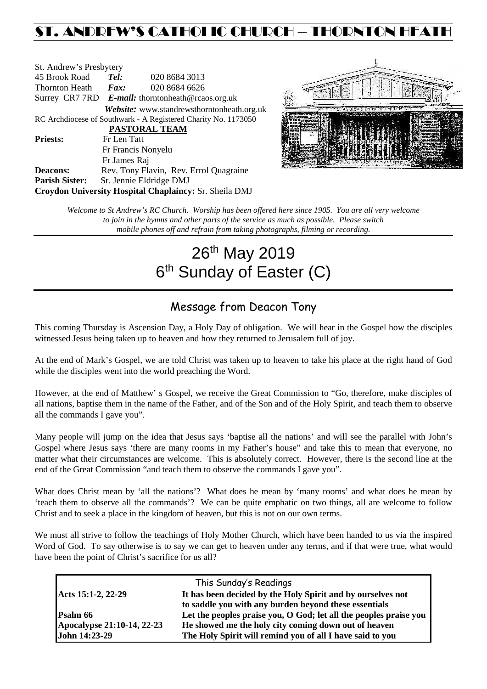## ST. ANDREW'S CATHOLIC CHURCH – THORNTON HEATH

| St. Andrew's Presbytery                                        |                                                      |                                                   |  |  |  |  |
|----------------------------------------------------------------|------------------------------------------------------|---------------------------------------------------|--|--|--|--|
| 45 Brook Road                                                  | Tel:                                                 | 020 8684 3013                                     |  |  |  |  |
| Thornton Heath                                                 | 020 8684 6626<br>Fax:                                |                                                   |  |  |  |  |
|                                                                | Surrey CR7 7RD $E$ -mail: thorntonheath@rcaos.org.uk |                                                   |  |  |  |  |
|                                                                |                                                      | <b>Website:</b> www.standrewsthorntonheath.org.uk |  |  |  |  |
| RC Archdiocese of Southwark - A Registered Charity No. 1173050 |                                                      |                                                   |  |  |  |  |
| <b>PASTORAL TEAM</b>                                           |                                                      |                                                   |  |  |  |  |
| <b>Priests:</b>                                                | Fr Len Tatt                                          |                                                   |  |  |  |  |
|                                                                | Fr Francis Nonyelu                                   |                                                   |  |  |  |  |
|                                                                | Fr James Raj                                         |                                                   |  |  |  |  |
| <b>Deacons:</b>                                                |                                                      | Rev. Tony Flavin, Rev. Errol Quagraine            |  |  |  |  |
| <b>Parish Sister:</b>                                          | Sr. Jennie Eldridge DMJ                              |                                                   |  |  |  |  |
| Croydon University Hospital Chaplaincy: Sr. Sheila DMJ         |                                                      |                                                   |  |  |  |  |



*Welcome to St Andrew's RC Church. Worship has been offered here since 1905. You are all very welcome to join in the hymns and other parts of the service as much as possible. Please switch mobile phones off and refrain from taking photographs, filming or recording.*

# 26<sup>th</sup> May 2019 6<sup>th</sup> Sunday of Easter (C)

## Message from Deacon Tony

This coming Thursday is Ascension Day, a Holy Day of obligation. We will hear in the Gospel how the disciples witnessed Jesus being taken up to heaven and how they returned to Jerusalem full of joy.

At the end of Mark's Gospel, we are told Christ was taken up to heaven to take his place at the right hand of God while the disciples went into the world preaching the Word.

However, at the end of Matthew' s Gospel, we receive the Great Commission to "Go, therefore, make disciples of all nations, baptise them in the name of the Father, and of the Son and of the Holy Spirit, and teach them to observe all the commands I gave you".

Many people will jump on the idea that Jesus says 'baptise all the nations' and will see the parallel with John's Gospel where Jesus says 'there are many rooms in my Father's house" and take this to mean that everyone, no matter what their circumstances are welcome. This is absolutely correct. However, there is the second line at the end of the Great Commission "and teach them to observe the commands I gave you".

What does Christ mean by 'all the nations'? What does he mean by 'many rooms' and what does he mean by 'teach them to observe all the commands'? We can be quite emphatic on two things, all are welcome to follow Christ and to seek a place in the kingdom of heaven, but this is not on our own terms.

We must all strive to follow the teachings of Holy Mother Church, which have been handed to us via the inspired Word of God. To say otherwise is to say we can get to heaven under any terms, and if that were true, what would have been the point of Christ's sacrifice for us all?

| This Sunday's Readings     |                                                                   |  |  |  |
|----------------------------|-------------------------------------------------------------------|--|--|--|
| Acts 15:1-2, 22-29         | It has been decided by the Holy Spirit and by ourselves not       |  |  |  |
|                            | to saddle you with any burden beyond these essentials             |  |  |  |
| Psalm 66                   | Let the peoples praise you, O God; let all the peoples praise you |  |  |  |
| Apocalypse 21:10-14, 22-23 | He showed me the holy city coming down out of heaven              |  |  |  |
| John 14:23-29              | The Holy Spirit will remind you of all I have said to you         |  |  |  |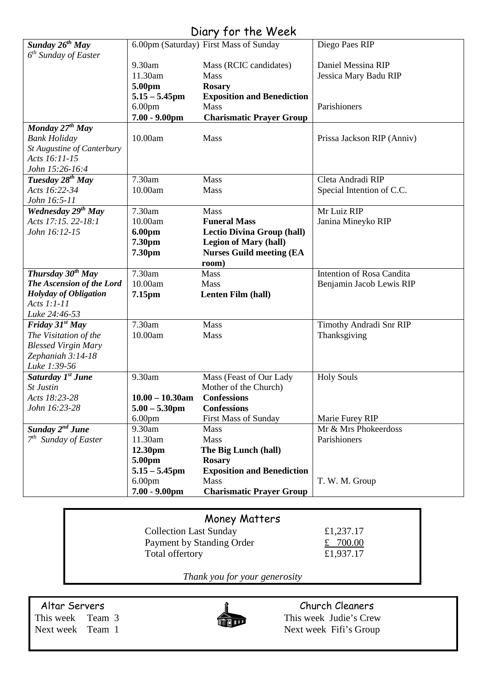## Diary for the Week

|                                  |                                        | $5.51$ $7.751$ $1.15$ $1.750$                  |                            |
|----------------------------------|----------------------------------------|------------------------------------------------|----------------------------|
| Sunday 26 <sup>th</sup> May      |                                        | 6.00pm (Saturday) First Mass of Sunday         | Diego Paes RIP             |
| 6 <sup>th</sup> Sunday of Easter |                                        |                                                |                            |
|                                  | 9.30am                                 | Mass (RCIC candidates)                         | Daniel Messina RIP         |
|                                  | 11.30am                                | <b>Mass</b>                                    | Jessica Mary Badu RIP      |
|                                  | 5.00pm                                 | <b>Rosary</b>                                  |                            |
|                                  | $5.15 - 5.45$ pm                       | <b>Exposition and Benediction</b>              |                            |
|                                  | 6.00 <sub>pm</sub>                     | Mass                                           | Parishioners               |
|                                  | $7.00 - 9.00$ pm                       | <b>Charismatic Prayer Group</b>                |                            |
| Monday $27^{th}$ May             |                                        |                                                |                            |
| <b>Bank Holiday</b>              | 10.00am                                | Mass                                           | Prissa Jackson RIP (Anniv) |
| St Augustine of Canterbury       |                                        |                                                |                            |
| Acts 16:11-15                    |                                        |                                                |                            |
| John 15:26-16:4                  |                                        |                                                |                            |
| Tuesday 28 <sup>th</sup> May     | 7.30am                                 | Mass                                           | Cleta Andradi RIP          |
| Acts 16:22-34                    | 10.00am                                | Mass                                           | Special Intention of C.C.  |
| John 16:5-11                     |                                        |                                                |                            |
| <b>Wednesday 29th May</b>        | 7.30am                                 | Mass                                           | Mr Luiz RIP                |
| Acts 17:15, 22-18:1              | 10.00am                                | <b>Funeral Mass</b>                            | Janina Mineyko RIP         |
| John 16:12-15                    | <b>6.00pm</b>                          | <b>Lectio Divina Group (hall)</b>              |                            |
|                                  | 7.30pm                                 | <b>Legion of Mary (hall)</b>                   |                            |
|                                  | 7.30pm                                 | <b>Nurses Guild meeting (EA</b>                |                            |
|                                  |                                        | room)                                          |                            |
| Thursday $30^{th}$ May           | 7.30am                                 | Mass                                           | Intention of Rosa Candita  |
| The Ascension of the Lord        | 10.00am                                | Mass                                           | Benjamin Jacob Lewis RIP   |
| <b>Holyday of Obligation</b>     | 7.15pm                                 | Lenten Film (hall)                             |                            |
| Acts 1:1-11                      |                                        |                                                |                            |
| Luke 24:46-53                    |                                        |                                                |                            |
| Friday $31^{st}$ May             | 7.30am                                 | <b>Mass</b>                                    | Timothy Andradi Snr RIP    |
| The Visitation of the            | 10.00am                                | Mass                                           | Thanksgiving               |
| <b>Blessed Virgin Mary</b>       |                                        |                                                |                            |
| Zephaniah 3:14-18                |                                        |                                                |                            |
| Luke 1:39-56                     |                                        |                                                |                            |
| Saturday 1st June                | 9.30am                                 | Mass (Feast of Our Lady                        | <b>Holy Souls</b>          |
| <b>St Justin</b>                 |                                        | Mother of the Church)                          |                            |
| Acts 18:23-28                    | $10.00 - 10.30$ am                     | <b>Confessions</b>                             |                            |
| John 16:23-28                    | $5.00 - 5.30$ pm                       | <b>Confessions</b>                             |                            |
|                                  | 6.00 <sub>pm</sub>                     | <b>First Mass of Sunday</b>                    | Marie Furey RIP            |
| Sunday 2 <sup>nd</sup> June      | 9.30am                                 | Mass                                           | Mr & Mrs Phokeerdoss       |
|                                  |                                        |                                                |                            |
|                                  | 11.30am                                | Mass                                           |                            |
| $7th$ Sunday of Easter           |                                        |                                                | Parishioners               |
|                                  | 12.30pm                                | The Big Lunch (hall)                           |                            |
|                                  | 5.00pm                                 | <b>Rosary</b>                                  |                            |
|                                  | $5.15 - 5.45$ pm                       | <b>Exposition and Benediction</b>              |                            |
|                                  | 6.00 <sub>pm</sub><br>$7.00 - 9.00$ pm | <b>Mass</b><br><b>Charismatic Prayer Group</b> | T. W. M. Group             |

### Money Matters

| <b>Collection Last Sunday</b> |  |
|-------------------------------|--|
| Payment by Standing Order     |  |
| Total offertory               |  |

 $£1,237.17$ £  $700.00$ £1,937.17

*Thank you for your generosity*



Altar Servers<br>
This week Team 3<br>
This week Judie's Crevent Cleaners<br>
This week Judie's Crevent Cleaners<br>
This week Judie's Crevent Cleaners This week Team 3 This week Judie's Crew<br>Next week Team 1 Next week Fifi's Group Next week Fifi's Group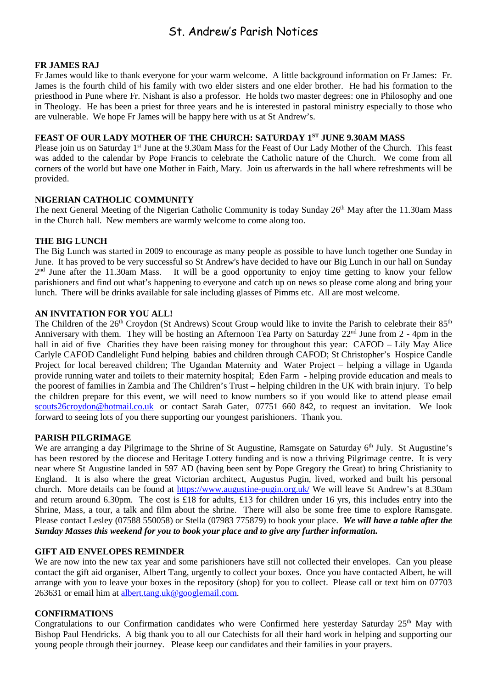## St. Andrew's Parish Notices

#### **FR JAMES RAJ**

Fr James would like to thank everyone for your warm welcome. A little background information on Fr James: Fr. James is the fourth child of his family with two elder sisters and one elder brother. He had his formation to the priesthood in Pune where Fr. Nishant is also a professor. He holds two master degrees: one in Philosophy and one in Theology. He has been a priest for three years and he is interested in pastoral ministry especially to those who are vulnerable. We hope Fr James will be happy here with us at St Andrew's.

#### **FEAST OF OUR LADY MOTHER OF THE CHURCH: SATURDAY 1ST JUNE 9.30AM MASS**

Please join us on Saturday 1<sup>st</sup> June at the 9.30am Mass for the Feast of Our Lady Mother of the Church. This feast was added to the calendar by Pope Francis to celebrate the Catholic nature of the Church. We come from all corners of the world but have one Mother in Faith, Mary. Join us afterwards in the hall where refreshments will be provided.

#### **NIGERIAN CATHOLIC COMMUNITY**

The next General Meeting of the Nigerian Catholic Community is today Sunday 26<sup>th</sup> May after the 11.30am Mass in the Church hall. New members are warmly welcome to come along too.

#### **THE BIG LUNCH**

The Big Lunch was started in 2009 to encourage as many people as possible to have lunch together one Sunday in June. It has proved to be very successful so St Andrew's have decided to have our Big Lunch in our hall on Sunday  $2<sup>nd</sup>$  June after the 11.30am Mass. It will be a good opportunity to enjoy time getting to know your fellow parishioners and find out what's happening to everyone and catch up on news so please come along and bring your lunch. There will be drinks available for sale including glasses of Pimms etc. All are most welcome.

#### **AN INVITATION FOR YOU ALL!**

The Children of the 26<sup>th</sup> Croydon (St Andrews) Scout Group would like to invite the Parish to celebrate their 85<sup>th</sup> Anniversary with them. They will be hosting an Afternoon Tea Party on Saturday 22<sup>nd</sup> June from 2 - 4pm in the hall in aid of five Charities they have been raising money for throughout this year: CAFOD – Lily May Alice Carlyle CAFOD Candlelight Fund helping babies and children through CAFOD; St Christopher's Hospice Candle Project for local bereaved children; The Ugandan Maternity and Water Project – helping a village in Uganda provide running water and toilets to their maternity hospital; Eden Farm - helping provide education and meals to the poorest of families in Zambia and The Children's Trust – helping children in the UK with brain injury. To help the children prepare for this event, we will need to know numbers so if you would like to attend please email [scouts26croydon@hotmail.co.uk](mailto:scouts26croydon@hotmail.co.uk) or contact Sarah Gater, 07751 660 842, to request an invitation. We look forward to seeing lots of you there supporting our youngest parishioners. Thank you.

#### **PARISH PILGRIMAGE**

We are arranging a day Pilgrimage to the Shrine of St Augustine, Ramsgate on Saturday 6<sup>th</sup> July. St Augustine's has been restored by the diocese and Heritage Lottery funding and is now a thriving Pilgrimage centre. It is very near where St Augustine landed in 597 AD (having been sent by Pope Gregory the Great) to bring Christianity to England. It is also where the great Victorian architect, Augustus Pugin, lived, worked and built his personal church. More details can be found at<https://www.augustine-pugin.org.uk/> We will leave St Andrew's at 8.30am and return around 6.30pm. The cost is £18 for adults, £13 for children under 16 yrs, this includes entry into the Shrine, Mass, a tour, a talk and film about the shrine. There will also be some free time to explore Ramsgate. Please contact Lesley (07588 550058) or Stella (07983 775879) to book your place. *We will have a table after the Sunday Masses this weekend for you to book your place and to give any further information.*

#### **GIFT AID ENVELOPES REMINDER**

We are now into the new tax year and some parishioners have still not collected their envelopes. Can you please contact the gift aid organiser, Albert Tang, urgently to collect your boxes. Once you have contacted Albert, he will arrange with you to leave your boxes in the repository (shop) for you to collect. Please call or text him on 07703 263631 or email him at [albert.tang.uk@googlemail.com.](mailto:albert.tang.uk@googlemail.com)

#### **CONFIRMATIONS**

Congratulations to our Confirmation candidates who were Confirmed here yesterday Saturday  $25<sup>th</sup>$  May with Bishop Paul Hendricks. A big thank you to all our Catechists for all their hard work in helping and supporting our young people through their journey. Please keep our candidates and their families in your prayers.